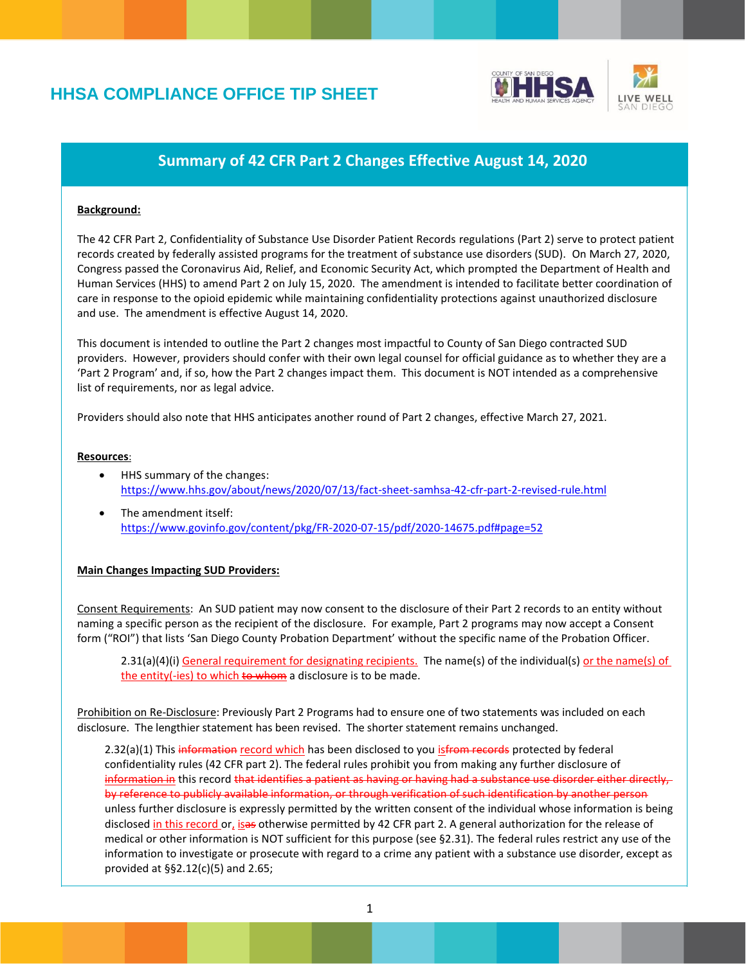# **HHSA COMPLIANCE OFFICE TIP SHEET**



# **Summary of 42 CFR Part 2 Changes Effective August 14, 2020**

## **Background:**

The 42 CFR Part 2, Confidentiality of Substance Use Disorder Patient Records regulations (Part 2) serve to protect patient records created by federally assisted programs for the treatment of substance use disorders (SUD). On March 27, 2020, Congress passed the Coronavirus Aid, Relief, and Economic Security Act, which prompted the Department of Health and Human Services (HHS) to amend Part 2 on July 15, 2020. The amendment is intended to facilitate better coordination of care in response to the opioid epidemic while maintaining confidentiality protections against unauthorized disclosure and use. The amendment is effective August 14, 2020.

This document is intended to outline the Part 2 changes most impactful to County of San Diego contracted SUD providers. However, providers should confer with their own legal counsel for official guidance as to whether they are a 'Part 2 Program' and, if so, how the Part 2 changes impact them. This document is NOT intended as a comprehensive list of requirements, nor as legal advice.

Providers should also note that HHS anticipates another round of Part 2 changes, effective March 27, 2021.

#### **Resources**:

- HHS summary of the changes: <https://www.hhs.gov/about/news/2020/07/13/fact-sheet-samhsa-42-cfr-part-2-revised-rule.html>
- The amendment itself: <https://www.govinfo.gov/content/pkg/FR-2020-07-15/pdf/2020-14675.pdf#page=52>

## **Main Changes Impacting SUD Providers:**

Consent Requirements: An SUD patient may now consent to the disclosure of their Part 2 records to an entity without naming a specific person as the recipient of the disclosure. For example, Part 2 programs may now accept a Consent form ("ROI") that lists 'San Diego County Probation Department' without the specific name of the Probation Officer.

2.31(a)(4)(i) General requirement for designating recipients. The name(s) of the individual(s) or the name(s) of the entity(-ies) to which to whom a disclosure is to be made.

Prohibition on Re-Disclosure: Previously Part 2 Programs had to ensure one of two statements was included on each disclosure. The lengthier statement has been revised. The shorter statement remains unchanged.

2.32(a)(1) This information record which has been disclosed to you isfrom records protected by federal confidentiality rules (42 CFR part 2). The federal rules prohibit you from making any further disclosure of information in this record that identifies a patient as having or having had a substance use disorder either directly, by reference to publicly available information, or through verification of such identification by another person unless further disclosure is expressly permitted by the written consent of the individual whose information is being disclosed in this record or, isas otherwise permitted by 42 CFR part 2. A general authorization for the release of medical or other information is NOT sufficient for this purpose (see §2.31). The federal rules restrict any use of the information to investigate or prosecute with regard to a crime any patient with a substance use disorder, except as provided at §§2.12(c)(5) and 2.65;